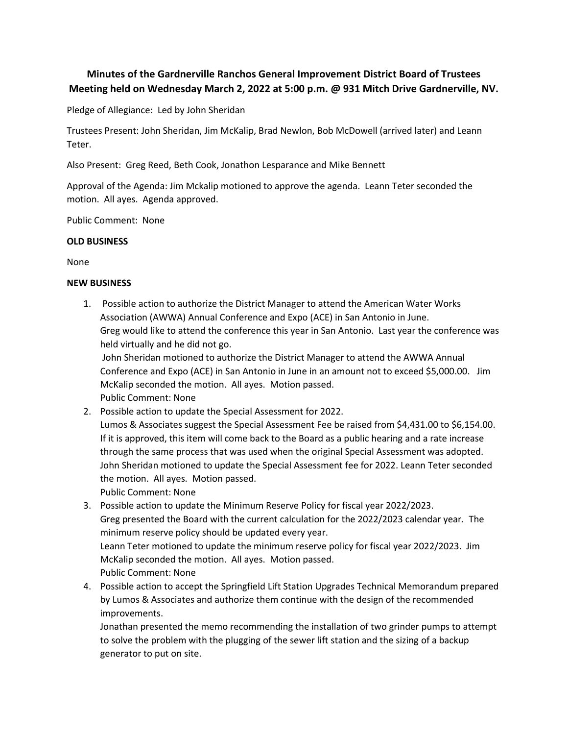# **Minutes of the Gardnerville Ranchos General Improvement District Board of Trustees Meeting held on Wednesday March 2, 2022 at 5:00 p.m. @ 931 Mitch Drive Gardnerville, NV.**

Pledge of Allegiance: Led by John Sheridan

Trustees Present: John Sheridan, Jim McKalip, Brad Newlon, Bob McDowell (arrived later) and Leann Teter.

Also Present: Greg Reed, Beth Cook, Jonathon Lesparance and Mike Bennett

Approval of the Agenda: Jim Mckalip motioned to approve the agenda. Leann Teter seconded the motion. All ayes. Agenda approved.<br>Public Comment: None

# **OLD BUSINESS**

None

# **NEW BUSINESS**

1. Possible action to authorize the District Manager to attend the American Water Works Association (AWWA) Annual Conference and Expo (ACE) in San Antonio in June. Greg would like to attend the conference this year in San Antonio. Last year the conference was held virtually and he did not go.

John Sheridan motioned to authorize the District Manager to attend the AWWA Annual Conference and Expo (ACE) in San Antonio in June in an amount not to exceed \$5,000.00. Jim McKalip seconded the motion. All ayes. Motion passed.

Public Comment: None

2. Possible action to update the Special Assessment for 2022. Lumos & Associates suggest the Special Assessment Fee be raised from \$4,431.00 to \$6,154.00. If it is approved, this item will come back to the Board as a public hearing and a rate increase through the same process that was used when the original Special Assessment was adopted. John Sheridan motioned to update the Special Assessment fee for 2022. Leann Teter seconded the motion. All ayes. Motion passed. Public Comment: None

3. Possible action to update the Minimum Reserve Policy for fiscalyear 2022/2023. Greg presented the Board with the current calculation for the 2022/2023 calendar year. The minimum reserve policy should be updated every year. Leann Teter motioned to update the minimum reserve policy for fiscal year 2022/2023. Jim McKalip seconded the motion. All ayes. Motion passed. Public Comment: None

4. Possible action to accept the Springfield Lift Station Upgrades Technical Memorandum prepared by Lumos & Associates and authorize them continue with the design of the recommended improvements.

Jonathan presented the memo recommending the installation of two grinder pumps to attempt to solve the problem with the plugging of the sewer lift station and the sizing of a backup generator to put on site.